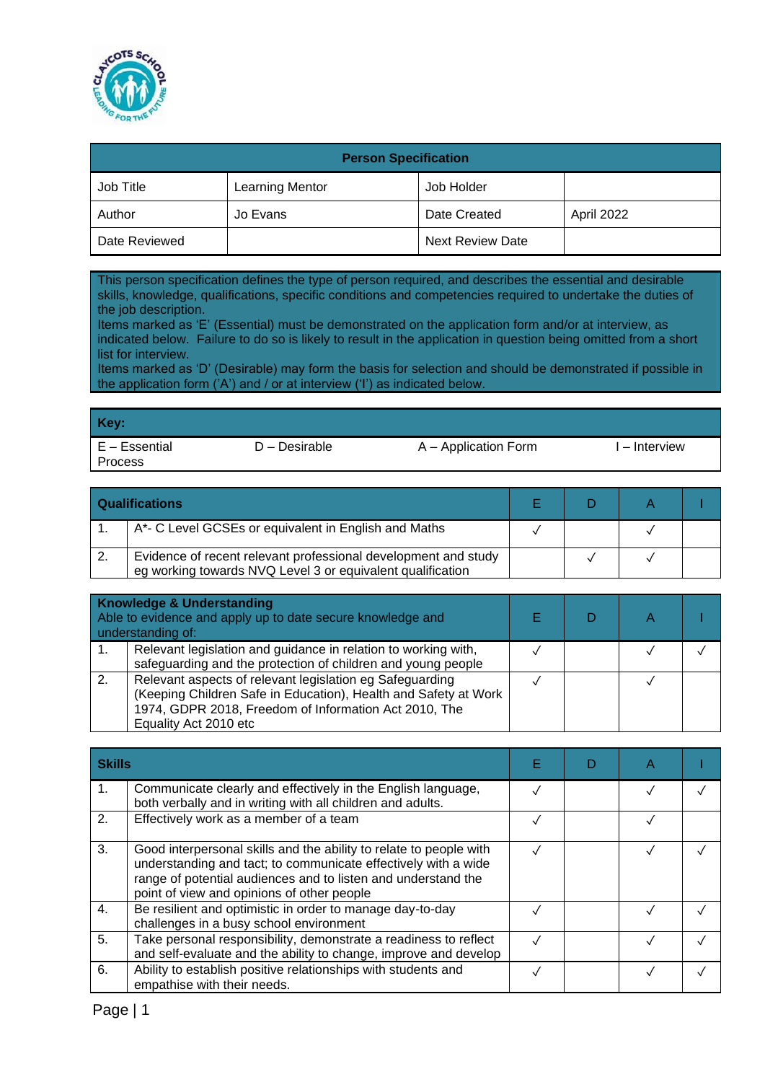

| <b>Person Specification</b> |                        |                         |            |  |  |
|-----------------------------|------------------------|-------------------------|------------|--|--|
| Job Title                   | <b>Learning Mentor</b> | Job Holder              |            |  |  |
| Author                      | Jo Evans               | Date Created            | April 2022 |  |  |
| Date Reviewed               |                        | <b>Next Review Date</b> |            |  |  |

This person specification defines the type of person required, and describes the essential and desirable skills, knowledge, qualifications, specific conditions and competencies required to undertake the duties of the job description.

Items marked as 'E' (Essential) must be demonstrated on the application form and/or at interview, as indicated below. Failure to do so is likely to result in the application in question being omitted from a short list for interview.

Items marked as 'D' (Desirable) may form the basis for selection and should be demonstrated if possible in the application form ('A') and / or at interview ('I') as indicated below.

| Key:                            |               |                      |               |
|---------------------------------|---------------|----------------------|---------------|
| E – Essential<br><b>Process</b> | D – Desirable | A – Application Form | I – Interview |

| <b>Qualifications</b>                                                                                                        |  |  |
|------------------------------------------------------------------------------------------------------------------------------|--|--|
| A*- C Level GCSEs or equivalent in English and Maths                                                                         |  |  |
| Evidence of recent relevant professional development and study<br>eg working towards NVQ Level 3 or equivalent qualification |  |  |

|    | <b>Knowledge &amp; Understanding</b><br>Able to evidence and apply up to date secure knowledge and<br>understanding of:                                                                                       |  |  |
|----|---------------------------------------------------------------------------------------------------------------------------------------------------------------------------------------------------------------|--|--|
|    | Relevant legislation and guidance in relation to working with,<br>safeguarding and the protection of children and young people                                                                                |  |  |
| 2. | Relevant aspects of relevant legislation eg Safeguarding<br>(Keeping Children Safe in Education), Health and Safety at Work<br>1974, GDPR 2018, Freedom of Information Act 2010, The<br>Equality Act 2010 etc |  |  |

|                | <b>Skills</b>                                                                                                                                                                                                                                       |  |  |  |
|----------------|-----------------------------------------------------------------------------------------------------------------------------------------------------------------------------------------------------------------------------------------------------|--|--|--|
| 1.             | Communicate clearly and effectively in the English language,<br>both verbally and in writing with all children and adults.                                                                                                                          |  |  |  |
| 2.             | Effectively work as a member of a team                                                                                                                                                                                                              |  |  |  |
| 3.             | Good interpersonal skills and the ability to relate to people with<br>understanding and tact; to communicate effectively with a wide<br>range of potential audiences and to listen and understand the<br>point of view and opinions of other people |  |  |  |
| $\mathbf{4}$ . | Be resilient and optimistic in order to manage day-to-day<br>challenges in a busy school environment                                                                                                                                                |  |  |  |
| 5.             | Take personal responsibility, demonstrate a readiness to reflect<br>and self-evaluate and the ability to change, improve and develop                                                                                                                |  |  |  |
| 6.             | Ability to establish positive relationships with students and<br>empathise with their needs.                                                                                                                                                        |  |  |  |